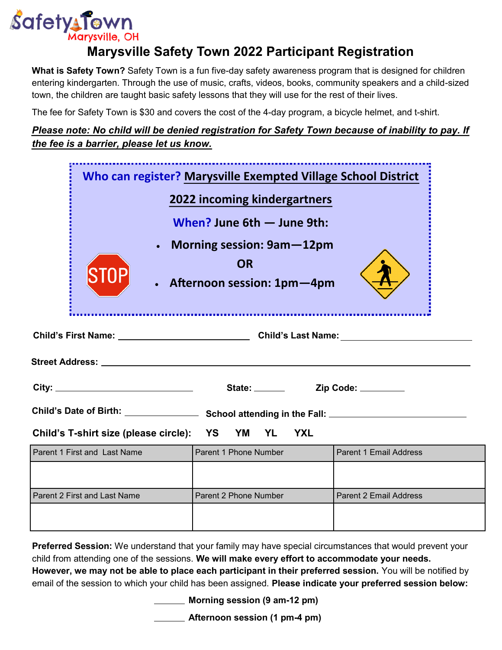

## **Marysville Safety Town 2022 Participant Registration**

**What is Safety Town?** Safety Town is a fun five-day safety awareness program that is designed for children entering kindergarten. Through the use of music, crafts, videos, books, community speakers and a child-sized town, the children are taught basic safety lessons that they will use for the rest of their lives.

The fee for Safety Town is \$30 and covers the cost of the 4-day program, a bicycle helmet, and t-shirt.

## *Please note: No child will be denied registration for Safety Town because of inability to pay. If the fee is a barrier, please let us know.*

| Who can register? Marysville Exempted Village School District |                                                                        |            |                               |  |
|---------------------------------------------------------------|------------------------------------------------------------------------|------------|-------------------------------|--|
|                                                               | <b>2022 incoming kindergartners</b>                                    |            |                               |  |
|                                                               | When? June $6th$ – June 9th:                                           |            |                               |  |
|                                                               | Morning session: 9am-12pm<br><b>OR</b><br>• Afternoon session: 1pm-4pm |            |                               |  |
|                                                               |                                                                        |            |                               |  |
|                                                               |                                                                        |            |                               |  |
|                                                               |                                                                        |            |                               |  |
|                                                               |                                                                        |            |                               |  |
| Child's T-shirt size (please circle): YS                      | YM<br><b>YL</b>                                                        | <b>YXL</b> |                               |  |
| Parent 1 First and Last Name                                  | Parent 1 Phone Number                                                  |            | <b>Parent 1 Email Address</b> |  |
|                                                               |                                                                        |            |                               |  |
| Parent 2 First and Last Name                                  | Parent 2 Phone Number                                                  |            | <b>Parent 2 Email Address</b> |  |

**Preferred Session:** We understand that your family may have special circumstances that would prevent your child from attending one of the sessions. **We will make every effort to accommodate your needs. However, we may not be able to place each participant in their preferred session.** You will be notified by email of the session to which your child has been assigned. **Please indicate your preferred session below:**

**Morning session (9 am-12 pm)**

**Afternoon session (1 pm-4 pm)**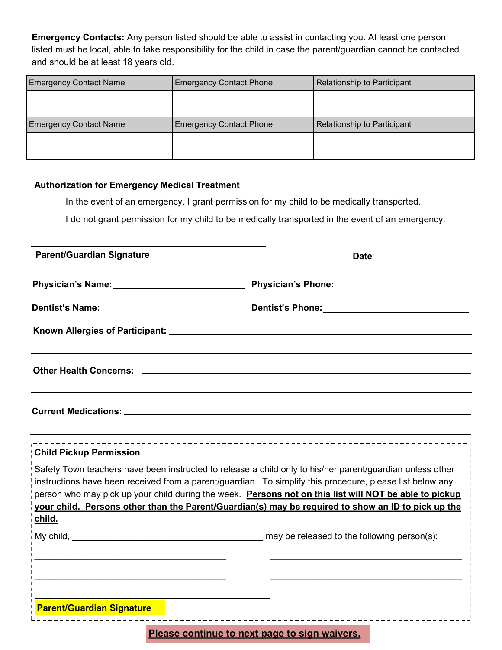**Emergency Contacts:** Any person listed should be able to assist in contacting you. At least one person listed must be local, able to take responsibility for the child in case the parent/guardian cannot be contacted and should be at least 18 years old.

| <b>Emergency Contact Name</b> | <b>Emergency Contact Phone</b> | Relationship to Participant |
|-------------------------------|--------------------------------|-----------------------------|
|                               |                                |                             |
|                               |                                |                             |
| <b>Emergency Contact Name</b> | <b>Emergency Contact Phone</b> | Relationship to Participant |
|                               |                                |                             |
|                               |                                |                             |

## **Authorization for Emergency Medical Treatment**

In the event of an emergency, I grant permission for my child to be medically transported.

I do not grant permission for my child to be medically transported in the event of an emergency.

| <b>Parent/Guardian Signature</b>                                                                                                                                                                                       | <b>Date</b>                                                                                                                                                                                                  |  |
|------------------------------------------------------------------------------------------------------------------------------------------------------------------------------------------------------------------------|--------------------------------------------------------------------------------------------------------------------------------------------------------------------------------------------------------------|--|
| Physician's Name: 1997 - 1997 - 1998 - 1999 - 1999 - 1999 - 1999 - 1999 - 1999 - 1999 - 1999 - 1999 - 1999 - 1                                                                                                         | Physician's Phone: 2008                                                                                                                                                                                      |  |
|                                                                                                                                                                                                                        |                                                                                                                                                                                                              |  |
|                                                                                                                                                                                                                        |                                                                                                                                                                                                              |  |
|                                                                                                                                                                                                                        |                                                                                                                                                                                                              |  |
|                                                                                                                                                                                                                        |                                                                                                                                                                                                              |  |
| <b>Child Pickup Permission</b>                                                                                                                                                                                         |                                                                                                                                                                                                              |  |
| Safety Town teachers have been instructed to release a child only to his/her parent/guardian unless other<br>instructions have been received from a parent/guardian. To simplify this procedure, please list below any | person who may pick up your child during the week. Persons not on this list will NOT be able to pickup<br>your child. Persons other than the Parent/Guardian(s) may be required to show an ID to pick up the |  |
| child.                                                                                                                                                                                                                 |                                                                                                                                                                                                              |  |
|                                                                                                                                                                                                                        |                                                                                                                                                                                                              |  |
| <b>Parent/Guardian Signature</b>                                                                                                                                                                                       |                                                                                                                                                                                                              |  |
|                                                                                                                                                                                                                        |                                                                                                                                                                                                              |  |

**Please continue to next page to sign waivers.**